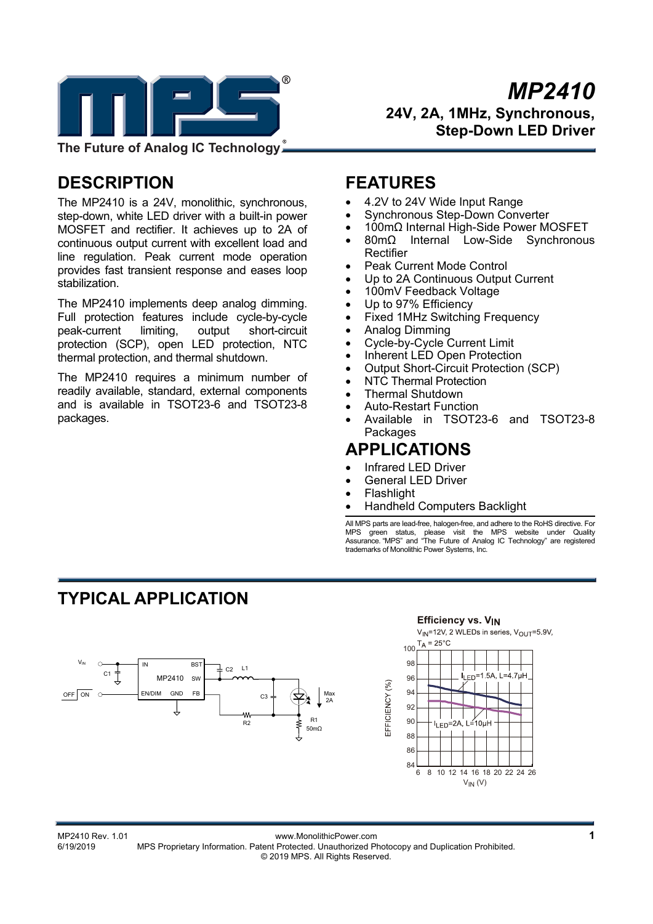

*MP2410* **24V, 2A, 1MHz, Synchronous, Step-Down LED Driver** 

**The Future of Analog IC Technology**

# **DESCRIPTION**

The MP2410 is a 24V, monolithic, synchronous, step-down, white LED driver with a built-in power MOSFET and rectifier. It achieves up to 2A of continuous output current with excellent load and line regulation. Peak current mode operation provides fast transient response and eases loop stabilization.

The MP2410 implements deep analog dimming. Full protection features include cycle-by-cycle peak-current limiting, output short-circuit protection (SCP), open LED protection, NTC thermal protection, and thermal shutdown.

The MP2410 requires a minimum number of readily available, standard, external components and is available in TSOT23-6 and TSOT23-8 packages.

### **FEATURES**

- 4.2V to 24V Wide Input Range
- Synchronous Step-Down Converter
- 100mΩ Internal High-Side Power MOSFET
- 80mΩ Internal Low-Side Synchronous Rectifier
- Peak Current Mode Control
- Up to 2A Continuous Output Current
- 100mV Feedback Voltage
- Up to 97% Efficiency
- Fixed 1MHz Switching Frequency
- Analog Dimming
- Cycle-by-Cycle Current Limit
- Inherent LED Open Protection
- Output Short-Circuit Protection (SCP)
- NTC Thermal Protection
- Thermal Shutdown
- Auto-Restart Function
- Available in TSOT23-6 and TSOT23-8 **Packages**

# **APPLICATIONS**

- Infrared LED Driver
- General LED Driver
- Flashlight

EFFICIENCY (%)

Handheld Computers Backlight

All MPS parts are lead-free, halogen-free, and adhere to the RoHS directive. For MPS green status, please visit the MPS website under Quality Assurance. "MPS" and "The Future of Analog IC Technology" are registered trademarks of Monolithic Power Systems, Inc.

# **TYPICAL APPLICATION**



#### **Efficiency vs. VIN**  $V_{\text{IN}}$ =12V, 2 WLEDs in series,  $V_{\text{OUT}}$ =5.9V,  $T_A = 25^{\circ}C$ 100 **98**  $Fn = 1.5A$ , L=4 7uH 96 94 92  $90$  $I_{LED} = 2A$  $L = 10\mu$ H 88 **86**  $84\frac{L}{6}$ 6 8 10 12 14 16 18 20 22 24 26 $V_{IN}$  (V)

1<br>MP2410 Rev. 1.01 www.MonolithicPower.com<br>6/19/2019 MPS Proprietary Information. Patent Protected. Unauthorized Photocopy and Duplication Prohibited. MPS Proprietary Information. Patent Protected. Unauthorized Photocopy and Duplication Prohibited. © 2019 MPS. All Rights Reserved.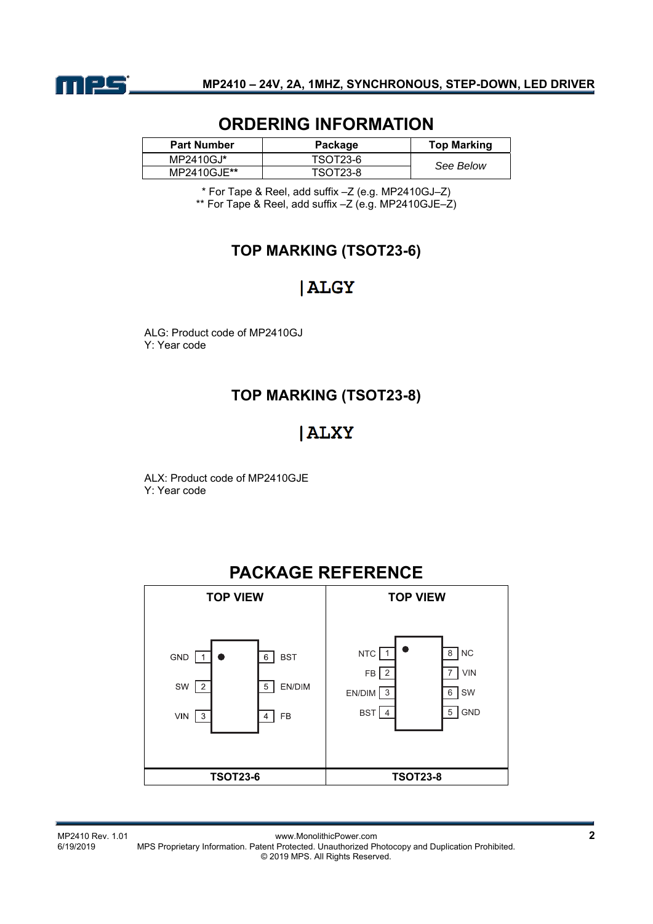

## **ORDERING INFORMATION**

| <b>Part Number</b> | Package  | <b>Top Marking</b> |
|--------------------|----------|--------------------|
| MP2410GJ*          | TSOT23-6 | See Below          |
| MP2410GJE**        | TSOT23-8 |                    |

\* For Tape & Reel, add suffix –Z (e.g. MP2410GJ–Z) \*\* For Tape & Reel, add suffix –Z (e.g. MP2410GJE–Z)

### **TOP MARKING (TSOT23-6)**

# **ALGY**

ALG: Product code of MP2410GJ Y: Year code

### **TOP MARKING (TSOT23-8)**

# **ALXY**

ALX: Product code of MP2410GJE Y: Year code

# **PACKAGE REFERENCE**



MP2410 Rev. 1.01 www.MonolithicPower.com **2** MPS Proprietary Information. Patent Protected. Unauthorized Photocopy and Duplication Prohibited. © 2019 MPS. All Rights Reserved.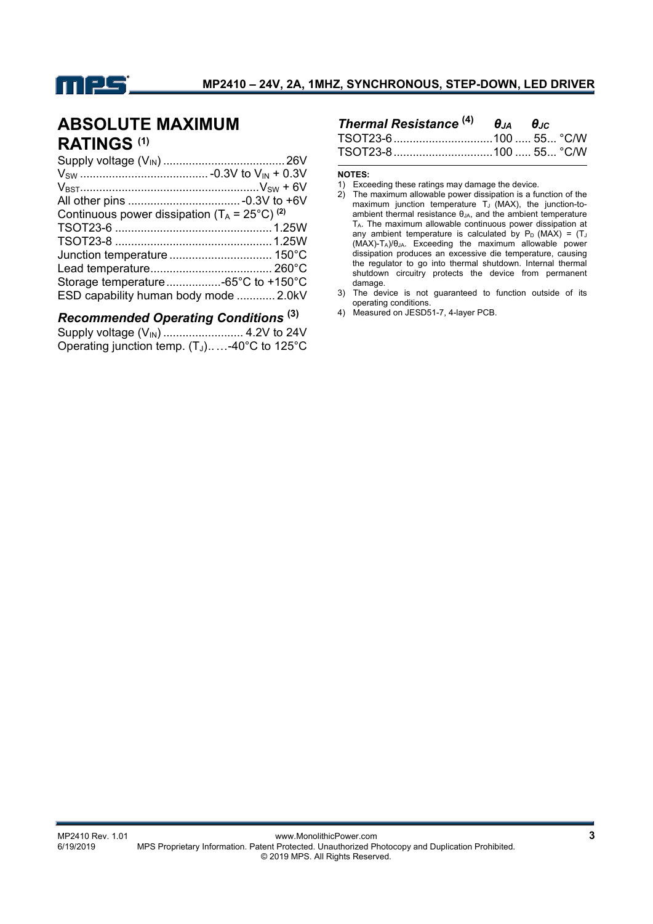

# **ABSOLUTE MAXIMUM RATINGS (1)**

| Continuous power dissipation ( $T_A = 25^{\circ}C$ ) <sup>(2)</sup> |  |
|---------------------------------------------------------------------|--|
|                                                                     |  |
|                                                                     |  |
|                                                                     |  |
|                                                                     |  |
|                                                                     |  |
| ESD capability human body mode  2.0kV                               |  |

#### *Recommended Operating Conditions* **(3)**

Supply voltage (VIN) ......................... 4.2V to 24V Operating junction temp. (T<sub>J</sub>).....-40°C to 125°C

| Thermal Resistance $^{(4)}$ $\theta_{JA}$ $\theta_{JC}$ |  |  |
|---------------------------------------------------------|--|--|
|                                                         |  |  |
|                                                         |  |  |

#### **NOTES:**

- 2) The maximum allowable power dissipation is a function of the maximum junction temperature  $T_J$  (MAX), the junction-toambient thermal resistance θJA, and the ambient temperature TA. The maximum allowable continuous power dissipation at any ambient temperature is calculated by  $P_D$  (MAX) = (TJ) (MAX)-TA)/θJA. Exceeding the maximum allowable power dissipation produces an excessive die temperature, causing the regulator to go into thermal shutdown. Internal thermal shutdown circuitry protects the device from permanent damage.
- 3) The device is not guaranteed to function outside of its operating conditions.
- 4) Measured on JESD51-7, 4-layer PCB.

<sup>1)</sup> Exceeding these ratings may damage the device.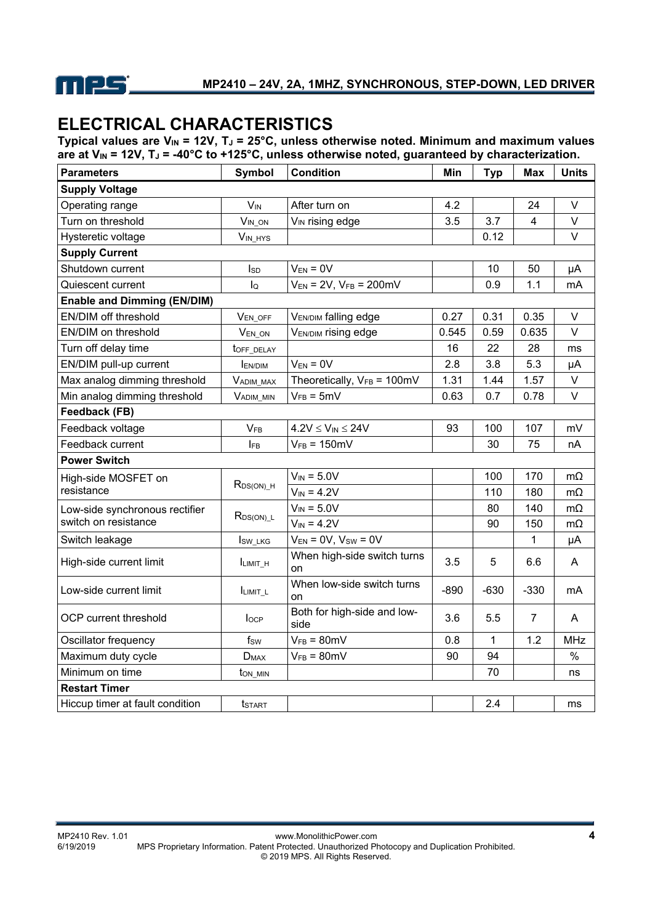

# **ELECTRICAL CHARACTERISTICS**

Typical values are V<sub>IN</sub> = 12V, T<sub>J</sub> = 25°C, unless otherwise noted. Minimum and maximum values are at V<sub>IN</sub> = 12V, T<sub>J</sub> = -40°C to +125°C, unless otherwise noted, guaranteed by characterization.

| <b>Parameters</b>                  | <b>Symbol</b>         | <b>Condition</b>                        | Min    | <b>Typ</b>  | <b>Max</b>              | <b>Units</b> |
|------------------------------------|-----------------------|-----------------------------------------|--------|-------------|-------------------------|--------------|
| <b>Supply Voltage</b>              |                       |                                         |        |             |                         |              |
| Operating range                    | <b>V<sub>IN</sub></b> | After turn on                           | 4.2    |             | 24                      | $\vee$       |
| Turn on threshold                  | $V_{IN\_ON}$          | V <sub>IN</sub> rising edge             | 3.5    | 3.7         | $\overline{\mathbf{4}}$ | V            |
| Hysteretic voltage                 | $V_{IN\_HYS}$         |                                         |        | 0.12        |                         | $\vee$       |
| <b>Supply Current</b>              |                       |                                         |        |             |                         |              |
| Shutdown current                   | $I_{SD}$              | $V_{EN} = 0V$                           |        | 10          | 50                      | μA           |
| Quiescent current                  | $I_{\mathsf{Q}}$      | $V_{EN}$ = 2V, $V_{FB}$ = 200mV         |        | 0.9         | 1.1                     | mA           |
| <b>Enable and Dimming (EN/DIM)</b> |                       |                                         |        |             |                         |              |
| EN/DIM off threshold               | VEN_OFF               | <b>VEN/DIM falling edge</b>             | 0.27   | 0.31        | 0.35                    | V            |
| EN/DIM on threshold                | VEN ON                | V <sub>EN/DIM</sub> rising edge         | 0.545  | 0.59        | 0.635                   | $\vee$       |
| Turn off delay time                | toff_DELAY            |                                         | 16     | 22          | 28                      | ms           |
| EN/DIM pull-up current             | <b>EN/DIM</b>         | $V_{EN} = 0V$                           | 2.8    | 3.8         | 5.3                     | μA           |
| Max analog dimming threshold       | VADIM_MAX             | Theoretically, $V_{FB} = 100 \text{mV}$ | 1.31   | 1.44        | 1.57                    | V            |
| Min analog dimming threshold       | VADIM_MIN             | $V_{FB} = 5mV$                          | 0.63   | 0.7         | 0.78                    | $\vee$       |
| Feedback (FB)                      |                       |                                         |        |             |                         |              |
| Feedback voltage                   | <b>VFB</b>            | $4.2V \leq V_{IN} \leq 24V$             | 93     | 100         | 107                     | mV           |
| Feedback current                   | IFB                   | $V_{FB} = 150mV$                        |        | 30          | 75                      | nA           |
| <b>Power Switch</b>                |                       |                                         |        |             |                         |              |
| High-side MOSFET on                | $R_{DS(ON)_H}$        | $V_{IN} = 5.0V$                         |        | 100         | 170                     | $m\Omega$    |
| resistance                         |                       | $V_{IN} = 4.2V$                         |        | 110         | 180                     | $m\Omega$    |
| Low-side synchronous rectifier     |                       | $V_{IN} = 5.0V$                         |        | 80          | 140                     | $m\Omega$    |
| switch on resistance               | $R_{DS(ON)\_L}$       | $V_{IN} = 4.2V$                         |        | 90          | 150                     | mΩ           |
| Switch leakage                     | Isw_LKG               | $V_{EN} = 0V$ , $V_{SW} = 0V$           |        |             | 1                       | μA           |
| High-side current limit            | ILIMIT_H              | When high-side switch turns<br>on       | 3.5    | 5           | 6.6                     | A            |
| Low-side current limit             | ILIMIT_L              | When low-side switch turns<br>on        | $-890$ | $-630$      | $-330$                  | mA           |
| OCP current threshold              | locp                  | Both for high-side and low-<br>side     | 3.6    | 5.5         | $\overline{7}$          | A            |
| Oscillator frequency               | $f_{SW}$              | $V_{FB} = 80mV$                         | 0.8    | $\mathbf 1$ | 1.2                     | <b>MHz</b>   |
| Maximum duty cycle                 | $D_{MAX}$             | $V_{FB} = 80mV$                         | 90     | 94          |                         | $\%$         |
| Minimum on time                    | ton min               |                                         |        | 70          |                         | ns           |
| <b>Restart Timer</b>               |                       |                                         |        |             |                         |              |
| Hiccup timer at fault condition    | <b>t</b> start        |                                         |        | 2.4         |                         | ms           |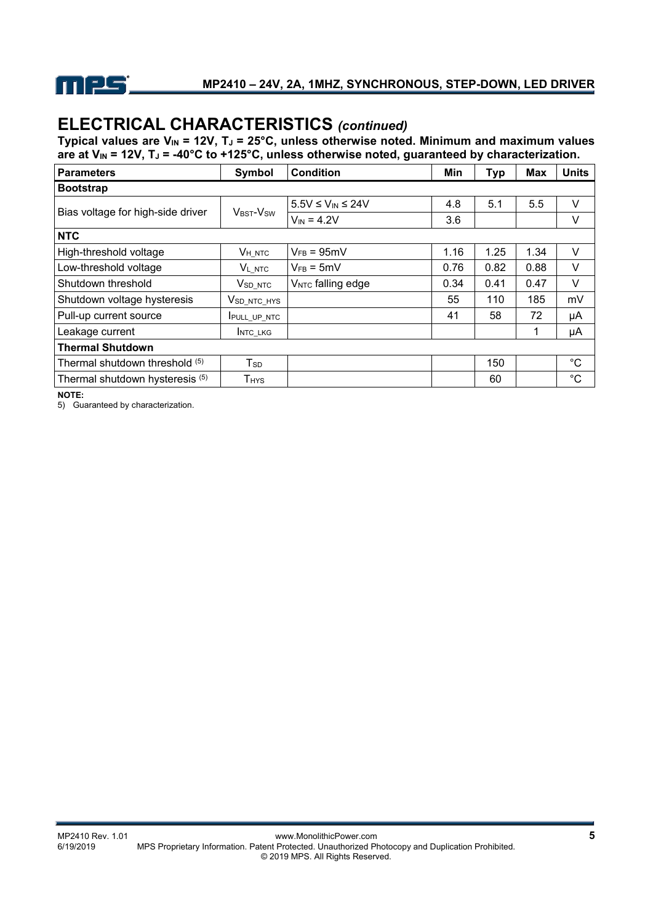

# **ELECTRICAL CHARACTERISTICS** *(continued)*

Typical values are  $V_{IN}$  = 12V, T<sub>J</sub> = 25°C, unless otherwise noted. Minimum and maximum values are at V<sub>IN</sub> = 12V, T<sub>J</sub> = -40°C to +125°C, unless otherwise noted, guaranteed by characterization.

| Parameters                        | Symbol                            | <b>Condition</b>              | Min  | Typ  | <b>Max</b> | <b>Units</b> |
|-----------------------------------|-----------------------------------|-------------------------------|------|------|------------|--------------|
| Bootstrap                         |                                   |                               |      |      |            |              |
| Bias voltage for high-side driver | V <sub>BST</sub> -V <sub>SW</sub> | $5.5V \leq V_{IN} \leq 24V$   | 4.8  | 5.1  | 5.5        | $\vee$       |
|                                   |                                   | $V_{IN} = 4.2V$               | 3.6  |      |            | V            |
| <b>NTC</b>                        |                                   |                               |      |      |            |              |
| High-threshold voltage            | V <sub>H</sub> NTC                | $V_{FB} = 95mV$               | 1.16 | 1.25 | 1.34       | V            |
| Low-threshold voltage             | <b>VL NTC</b>                     | $V_{FB} = 5mV$                | 0.76 | 0.82 | 0.88       | V            |
| Shutdown threshold                | V <sub>SD</sub> NTC               | V <sub>NTC</sub> falling edge | 0.34 | 0.41 | 0.47       | V            |
| Shutdown voltage hysteresis       | V <sub>SD_NTC_HYS</sub>           |                               | 55   | 110  | 185        | mV           |
| Pull-up current source            | <b>IPULL UP NTC</b>               |                               | 41   | 58   | 72         | μA           |
| Leakage current                   | <b>INTC LKG</b>                   |                               |      |      |            | μA           |
| <b>Thermal Shutdown</b>           |                                   |                               |      |      |            |              |
| Thermal shutdown threshold (5)    | $T_{SD}$                          |                               |      | 150  |            | $^{\circ}C$  |
| Thermal shutdown hysteresis (5)   | <b>T</b> <sub>HYS</sub>           |                               |      | 60   |            | $^{\circ}C$  |

**NOTE:** 

5) Guaranteed by characterization.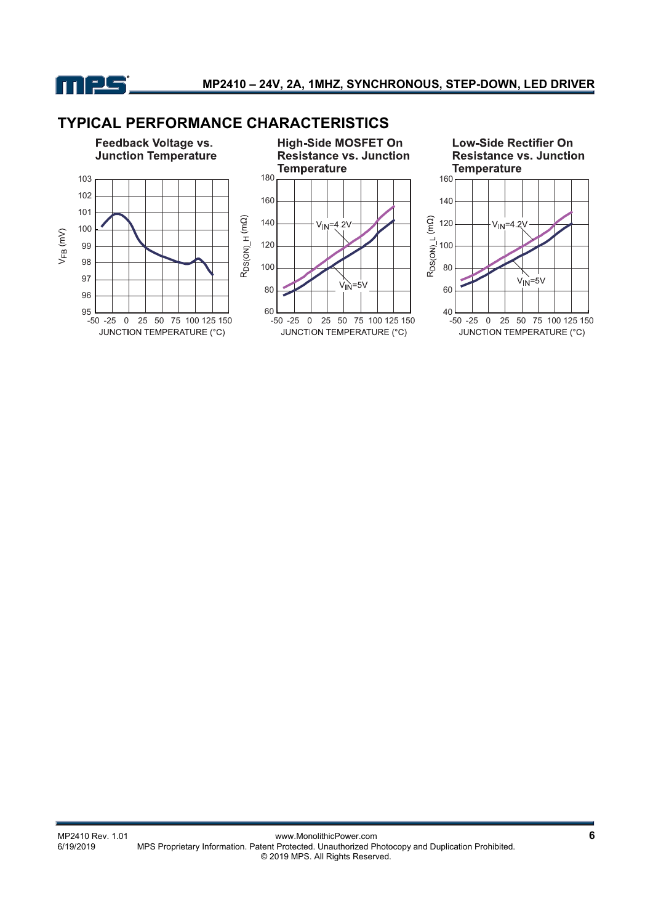

### **TYPICAL PERFORMANCE CHARACTERISTICS**

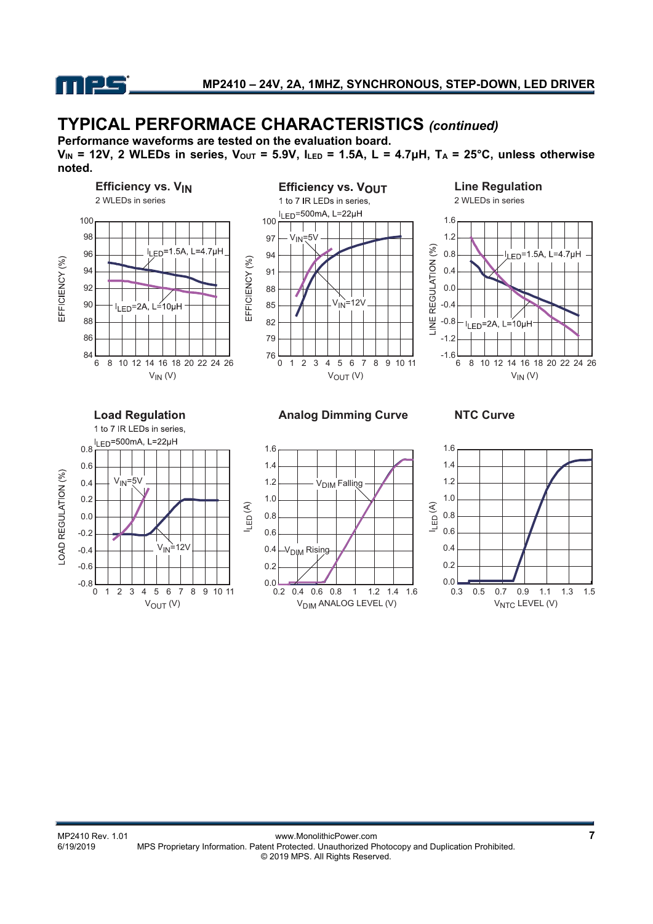

# **TYPICAL PERFORMACE CHARACTERISTICS** *(continued)*

**Performance waveforms are tested on the evaluation board.** 

 $V_{IN}$  = 12V, 2 WLEDs in series,  $V_{OUT}$  = 5.9V,  $I_{LED}$  = 1.5A, L = 4.7 $\mu$ H, T<sub>A</sub> = 25°C, unless otherwise **noted.**



-OAD REGULATION (%) 0.2 0.0 -0.2  $V_{IN}$ =12V -0.4 -0.6  $-0.8$   $\frac{1}{0}$ 0 1 2 3 4 5 6 7 8 9 10 11





 $V<sub>NTC</sub>$  LEVEL (V)

0.3 0.5 0.7 0.9 1.1 1.3 1.5

 $0.0$   $0.3$  0.5

0.2 0.4 0.6 0.8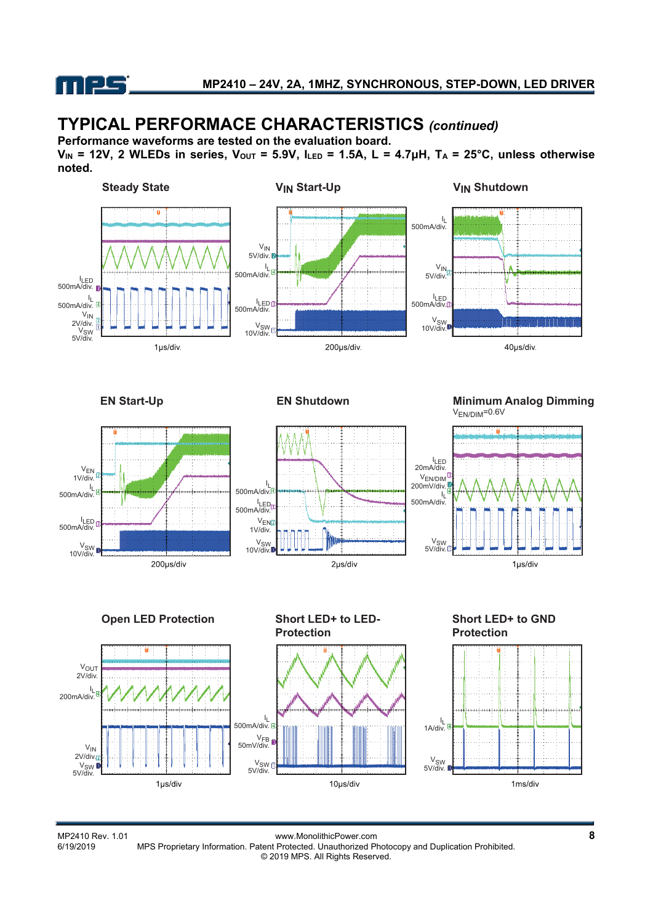

# **TYPICAL PERFORMACE CHARACTERISTICS** *(continued)*

**Performance waveforms are tested on the evaluation board.** 

**V<sub>IN</sub>** = 12V, 2 WLEDs in series, V<sub>OUT</sub> = 5.9V, I<sub>LED</sub> = 1.5A, L = 4.7μH, T<sub>A</sub> = 25°C, unless otherwise **noted.**



Weiter Power.com www.MonolithicPower.com<br>6/19/2019 MPS Proprietary Information. Patent Protected. Unauthorized Photocopy and Duplication Prohibited. MPS Proprietary Information. Patent Protected. Unauthorized Photocopy and Duplication Prohibited. © 2019 MPS. All Rights Reserved.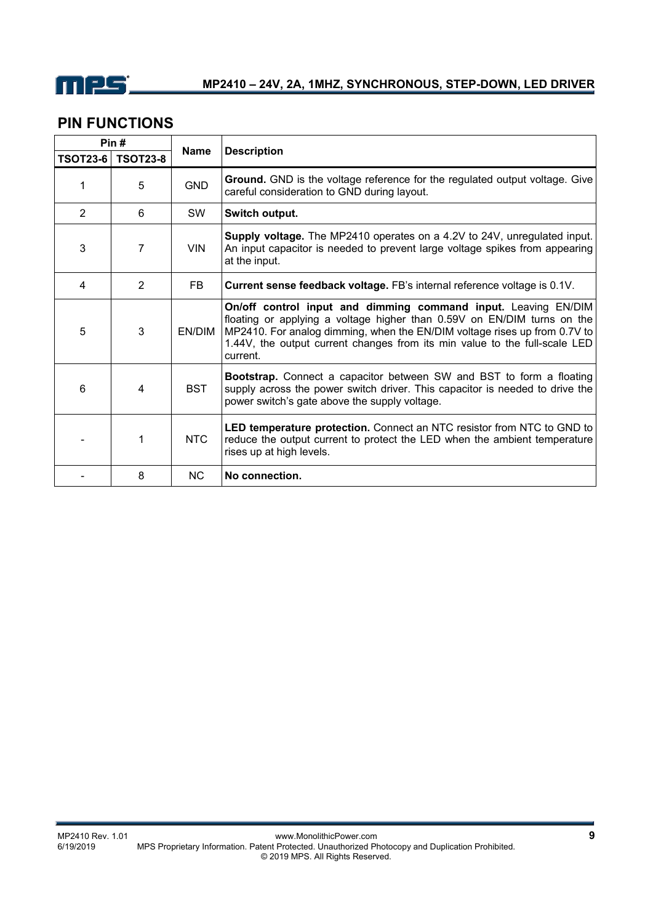

### **PIN FUNCTIONS**

| Pin#            |                 |             |                                                                                                                                                                                                                                                                                                                  |  |
|-----------------|-----------------|-------------|------------------------------------------------------------------------------------------------------------------------------------------------------------------------------------------------------------------------------------------------------------------------------------------------------------------|--|
| <b>TSOT23-6</b> | <b>TSOT23-8</b> | <b>Name</b> | <b>Description</b>                                                                                                                                                                                                                                                                                               |  |
| 1               | 5               | <b>GND</b>  | <b>Ground.</b> GND is the voltage reference for the regulated output voltage. Give<br>careful consideration to GND during layout.                                                                                                                                                                                |  |
| 2               | 6               | <b>SW</b>   | Switch output.                                                                                                                                                                                                                                                                                                   |  |
| 3               | 7               | <b>VIN</b>  | Supply voltage. The MP2410 operates on a 4.2V to 24V, unregulated input.<br>An input capacitor is needed to prevent large voltage spikes from appearing<br>at the input.                                                                                                                                         |  |
| 4               | $\overline{2}$  | FB          | Current sense feedback voltage. FB's internal reference voltage is 0.1V.                                                                                                                                                                                                                                         |  |
| 5               | 3               | EN/DIM      | On/off control input and dimming command input. Leaving EN/DIM<br>floating or applying a voltage higher than 0.59V on EN/DIM turns on the<br>MP2410. For analog dimming, when the EN/DIM voltage rises up from 0.7V to<br>1.44V, the output current changes from its min value to the full-scale LED<br>current. |  |
| 6               | 4               | <b>BST</b>  | <b>Bootstrap.</b> Connect a capacitor between SW and BST to form a floating<br>supply across the power switch driver. This capacitor is needed to drive the<br>power switch's gate above the supply voltage.                                                                                                     |  |
|                 | 1               | NTC         | LED temperature protection. Connect an NTC resistor from NTC to GND to<br>reduce the output current to protect the LED when the ambient temperature<br>rises up at high levels.                                                                                                                                  |  |
|                 | 8               | NC.         | No connection.                                                                                                                                                                                                                                                                                                   |  |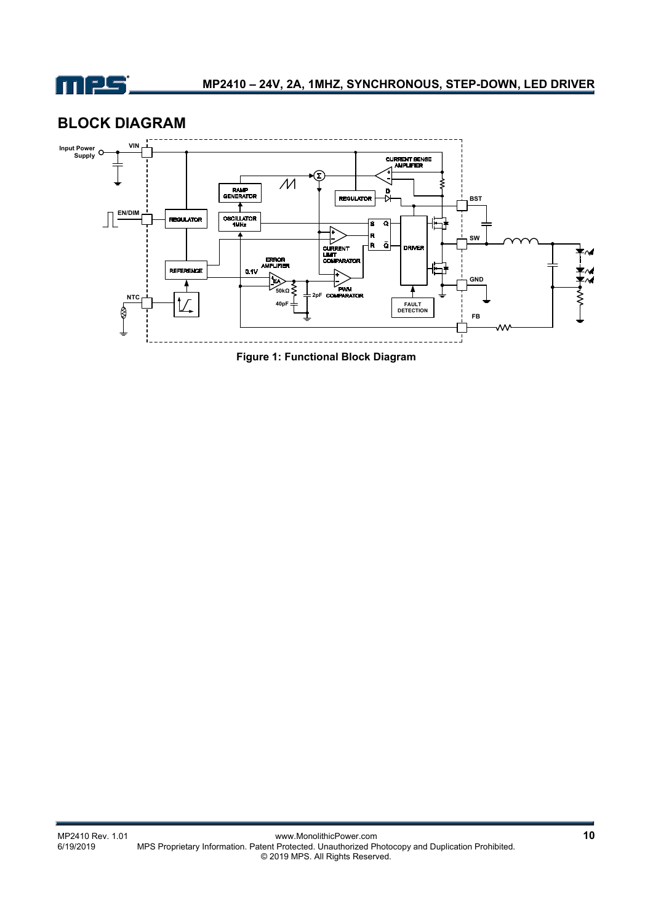

### **BLOCK DIAGRAM**



**Figure 1: Functional Block Diagram**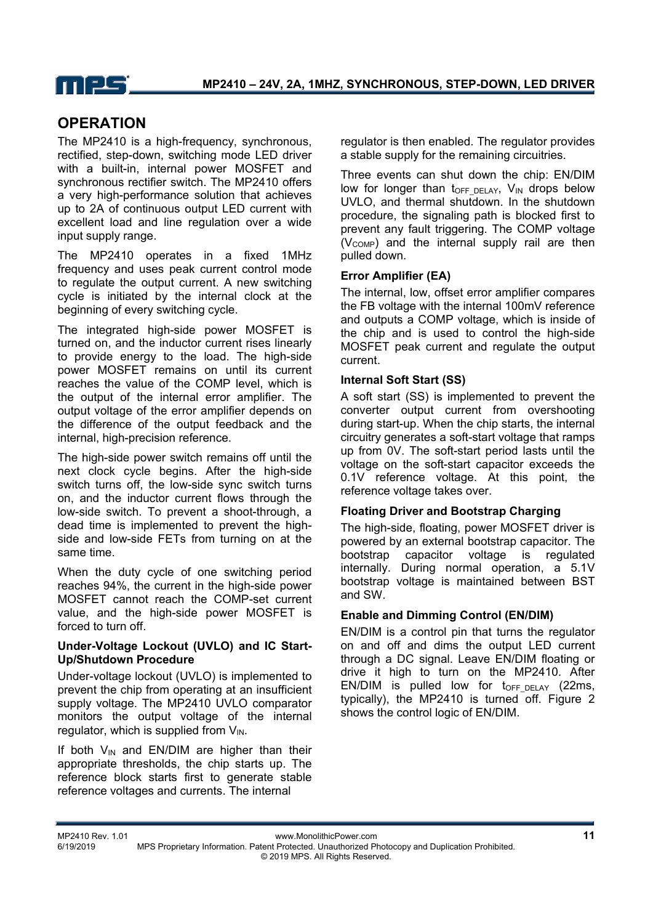### **OPERATION**

The MP2410 is a high-frequency, synchronous, rectified, step-down, switching mode LED driver with a built-in, internal power MOSFET and synchronous rectifier switch. The MP2410 offers a very high-performance solution that achieves up to 2A of continuous output LED current with excellent load and line regulation over a wide input supply range.

The MP2410 operates in a fixed 1MHz frequency and uses peak current control mode to regulate the output current. A new switching cycle is initiated by the internal clock at the beginning of every switching cycle.

The integrated high-side power MOSFET is turned on, and the inductor current rises linearly to provide energy to the load. The high-side power MOSFET remains on until its current reaches the value of the COMP level, which is the output of the internal error amplifier. The output voltage of the error amplifier depends on the difference of the output feedback and the internal, high-precision reference.

The high-side power switch remains off until the next clock cycle begins. After the high-side switch turns off, the low-side sync switch turns on, and the inductor current flows through the low-side switch. To prevent a shoot-through, a dead time is implemented to prevent the highside and low-side FETs from turning on at the same time.

When the duty cycle of one switching period reaches 94%, the current in the high-side power MOSFET cannot reach the COMP-set current value, and the high-side power MOSFET is forced to turn off.

#### **Under-Voltage Lockout (UVLO) and IC Start-Up/Shutdown Procedure**

Under-voltage lockout (UVLO) is implemented to prevent the chip from operating at an insufficient supply voltage. The MP2410 UVLO comparator monitors the output voltage of the internal regulator, which is supplied from  $V_{IN.}$ 

If both  $V_{IN}$  and EN/DIM are higher than their appropriate thresholds, the chip starts up. The reference block starts first to generate stable reference voltages and currents. The internal

regulator is then enabled. The regulator provides a stable supply for the remaining circuitries.

Three events can shut down the chip: EN/DIM low for longer than  $t_{OFF}$   $_{DELAY}$ ,  $V_{IN}$  drops below UVLO, and thermal shutdown. In the shutdown procedure, the signaling path is blocked first to prevent any fault triggering. The COMP voltage  $(V<sub>COMP</sub>)$  and the internal supply rail are then pulled down.

#### **Error Amplifier (EA)**

The internal, low, offset error amplifier compares the FB voltage with the internal 100mV reference and outputs a COMP voltage, which is inside of the chip and is used to control the high-side MOSFET peak current and regulate the output current.

#### **Internal Soft Start (SS)**

A soft start (SS) is implemented to prevent the converter output current from overshooting during start-up. When the chip starts, the internal circuitry generates a soft-start voltage that ramps up from 0V. The soft-start period lasts until the voltage on the soft-start capacitor exceeds the 0.1V reference voltage. At this point, the reference voltage takes over.

#### **Floating Driver and Bootstrap Charging**

The high-side, floating, power MOSFET driver is powered by an external bootstrap capacitor. The bootstrap capacitor voltage is regulated internally. During normal operation, a 5.1V bootstrap voltage is maintained between BST and SW.

#### **Enable and Dimming Control (EN/DIM)**

EN/DIM is a control pin that turns the regulator on and off and dims the output LED current through a DC signal. Leave EN/DIM floating or drive it high to turn on the MP2410. After EN/DIM is pulled low for  $t_{OFF-DELAY}$  (22ms, typically), the MP2410 is turned off. Figure 2 shows the control logic of EN/DIM.

MP2410 Rev. 1.01 www.MonolithicPower.com **11**

6/19/2019 MPS Proprietary Information. Patent Protected. Unauthorized Photocopy and Duplication Prohibited. © 2019 MPS. All Rights Reserved.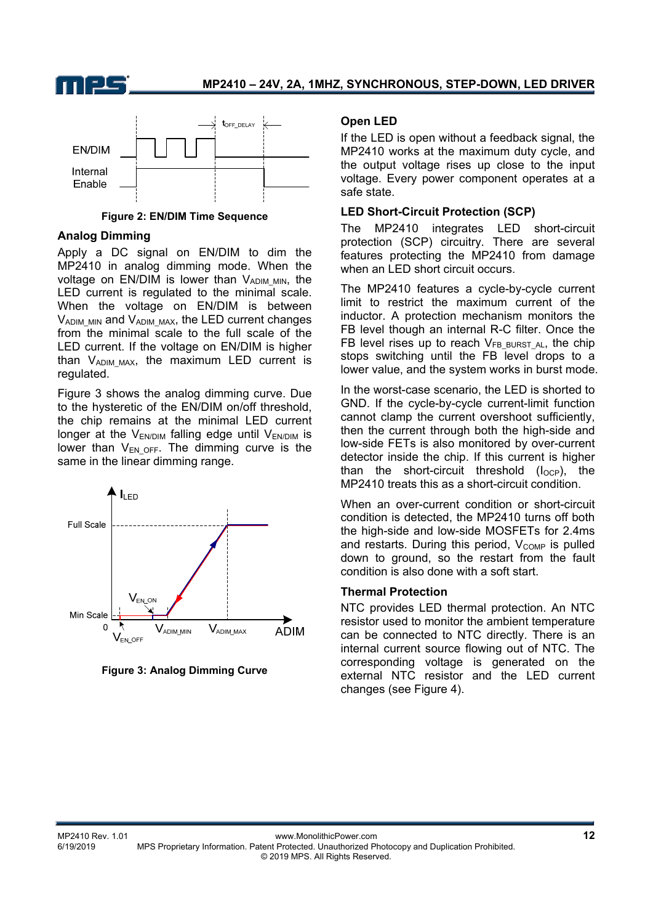



**Figure 2: EN/DIM Time Sequence** 

#### **Analog Dimming**

Apply a DC signal on EN/DIM to dim the MP2410 in analog dimming mode. When the voltage on EN/DIM is lower than  $V_{ADIM~MIN}$ , the LED current is regulated to the minimal scale. When the voltage on EN/DIM is between  $V_{ADIM~MIN}$  and  $V_{ADIM~MAX}$ , the LED current changes from the minimal scale to the full scale of the LED current. If the voltage on EN/DIM is higher than VADIM\_MAX, the maximum LED current is regulated.

Figure 3 shows the analog dimming curve. Due to the hysteretic of the EN/DIM on/off threshold, the chip remains at the minimal LED current longer at the  $V_{ENDIM}$  falling edge until  $V_{ENDIM}$  is lower than  $V_{ENOFF}$ . The dimming curve is the same in the linear dimming range.





#### **Open LED**

If the LED is open without a feedback signal, the MP2410 works at the maximum duty cycle, and the output voltage rises up close to the input voltage. Every power component operates at a safe state.

#### **LED Short-Circuit Protection (SCP)**

The MP2410 integrates LED short-circuit protection (SCP) circuitry. There are several features protecting the MP2410 from damage when an LED short circuit occurs.

The MP2410 features a cycle-by-cycle current limit to restrict the maximum current of the inductor. A protection mechanism monitors the FB level though an internal R-C filter. Once the FB level rises up to reach  $V_{FB}$   $_{BURSTAL}$ , the chip stops switching until the FB level drops to a lower value, and the system works in burst mode.

In the worst-case scenario, the LED is shorted to GND. If the cycle-by-cycle current-limit function cannot clamp the current overshoot sufficiently, then the current through both the high-side and low-side FETs is also monitored by over-current detector inside the chip. If this current is higher than the short-circuit threshold  $(I<sub>OCP</sub>)$ , the MP2410 treats this as a short-circuit condition.

When an over-current condition or short-circuit condition is detected, the MP2410 turns off both the high-side and low-side MOSFETs for 2.4ms and restarts. During this period,  $V_{COMP}$  is pulled down to ground, so the restart from the fault condition is also done with a soft start.

#### **Thermal Protection**

NTC provides LED thermal protection. An NTC resistor used to monitor the ambient temperature can be connected to NTC directly. There is an internal current source flowing out of NTC. The corresponding voltage is generated on the external NTC resistor and the LED current changes (see Figure 4).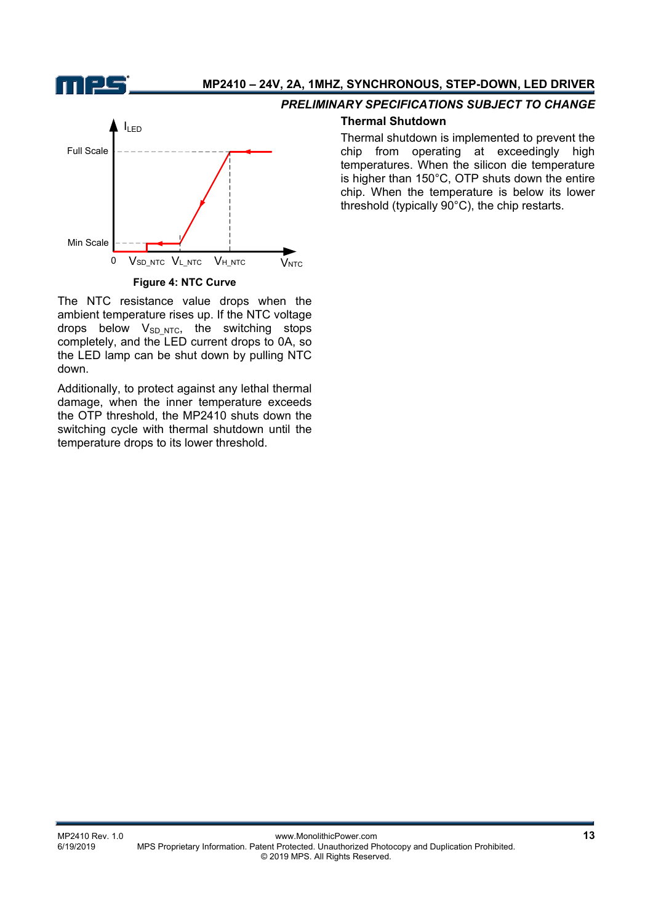

#### **MP2410 – 24V, 2A, 1MHZ, SYNCHRONOUS, STEP-DOWN, LED DRIVER**



**Figure 4: NTC Curve**

The NTC resistance value drops when the ambient temperature rises up. If the NTC voltage drops below  $V_{SD,NTC}$ , the switching stops completely, and the LED current drops to 0A, so the LED lamp can be shut down by pulling NTC down.

Additionally, to protect against any lethal thermal damage, when the inner temperature exceeds the OTP threshold, the MP2410 shuts down the switching cycle with thermal shutdown until the temperature drops to its lower threshold.

#### *PRELIMINARY SPECIFICATIONS SUBJECT TO CHANGE*

#### **Thermal Shutdown**

Thermal shutdown is implemented to prevent the chip from operating at exceedingly high temperatures. When the silicon die temperature is higher than 150°C, OTP shuts down the entire chip. When the temperature is below its lower threshold (typically 90°C), the chip restarts.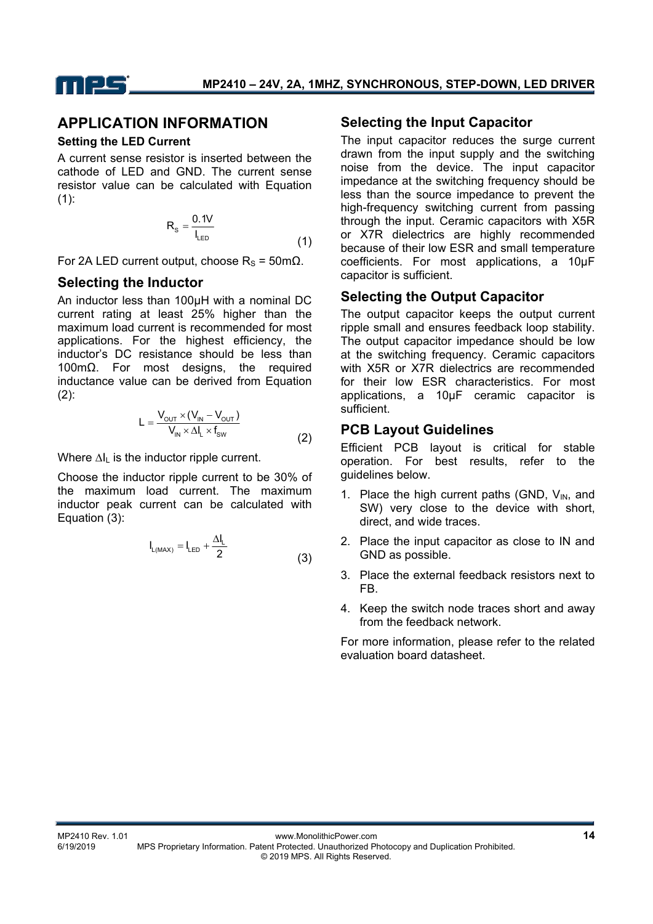

#### **APPLICATION INFORMATION**

#### **Setting the LED Current**

A current sense resistor is inserted between the cathode of LED and GND. The current sense resistor value can be calculated with Equation  $(1):$ 

$$
R_s = \frac{0.1V}{I_{LED}}
$$
 (1)

For 2A LED current output, choose  $R_s = 50$ mΩ.

#### **Selecting the Inductor**

An inductor less than 100µH with a nominal DC current rating at least 25% higher than the maximum load current is recommended for most applications. For the highest efficiency, the inductor's DC resistance should be less than 100mΩ. For most designs, the required inductance value can be derived from Equation  $(2)$ :

$$
L = \frac{V_{\text{out}} \times (V_{\text{in}} - V_{\text{out}})}{V_{\text{in}} \times \Delta I_{\text{L}} \times f_{\text{sw}}}
$$
(2)

Where ∆I<sub>L</sub> is the inductor ripple current.

Choose the inductor ripple current to be 30% of the maximum load current. The maximum inductor peak current can be calculated with Equation (3):

$$
I_{L(MAX)} = I_{LED} + \frac{\Delta I_L}{2}
$$
 (3)

#### **Selecting the Input Capacitor**

The input capacitor reduces the surge current drawn from the input supply and the switching noise from the device. The input capacitor impedance at the switching frequency should be less than the source impedance to prevent the high-frequency switching current from passing through the input. Ceramic capacitors with X5R or X7R dielectrics are highly recommended because of their low ESR and small temperature coefficients. For most applications, a 10µF capacitor is sufficient.

#### **Selecting the Output Capacitor**

The output capacitor keeps the output current ripple small and ensures feedback loop stability. The output capacitor impedance should be low at the switching frequency. Ceramic capacitors with X5R or X7R dielectrics are recommended for their low ESR characteristics. For most applications, a 10µF ceramic capacitor is sufficient.

#### **PCB Layout Guidelines**

Efficient PCB layout is critical for stable operation. For best results, refer to the guidelines below.

- 1. Place the high current paths (GND,  $V_{IN}$ , and SW) very close to the device with short, direct, and wide traces.
- 2. Place the input capacitor as close to IN and GND as possible.
- 3. Place the external feedback resistors next to FB.
- 4. Keep the switch node traces short and away from the feedback network.

For more information, please refer to the related evaluation board datasheet.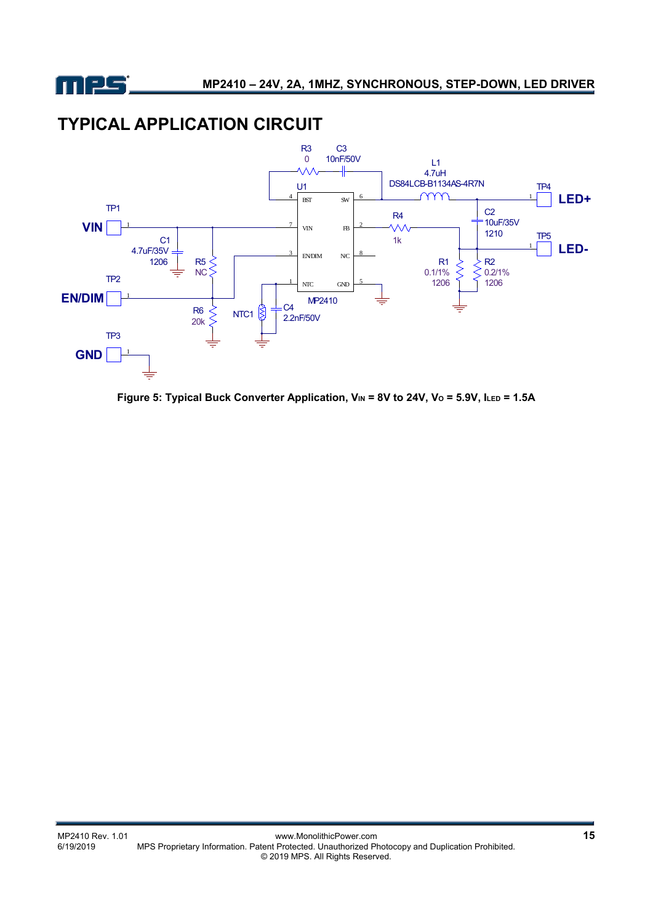

# **TYPICAL APPLICATION CIRCUIT**



Figure 5: Typical Buck Converter Application, V<sub>IN</sub> = 8V to 24V, V<sub>0</sub> = 5.9V, I<sub>LED</sub> = 1.5A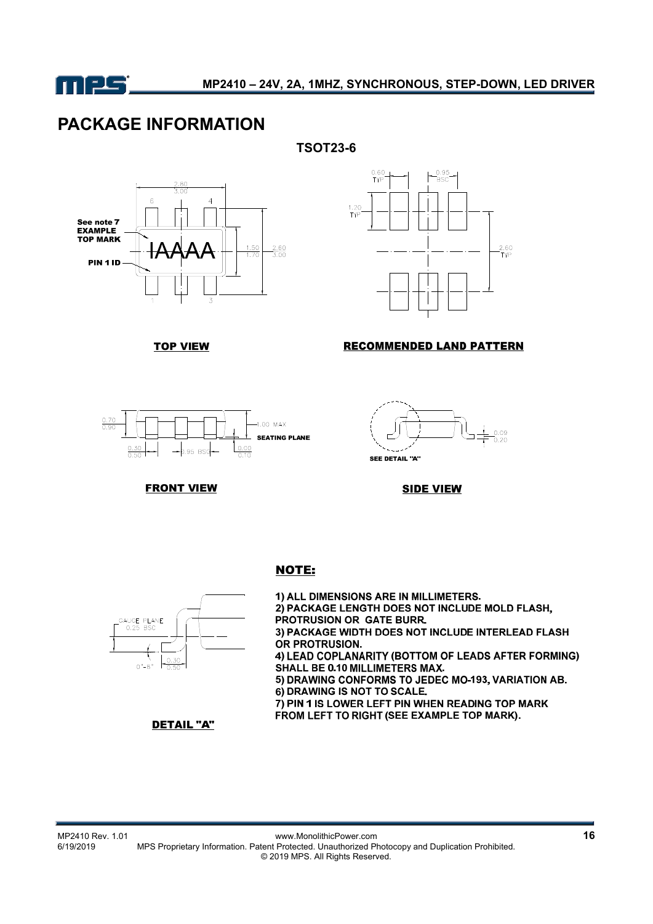

# **PACKAGE INFORMATION**





**TOP VIEW** 



#### **RECOMMENDED LAND PATTERN**





**FRONT VIEW** 

**SIDE VIEW** 

#### **NOTE:**



1) ALL DIMENSIONS ARE IN MILLIMETERS. 2) PACKAGE LENGTH DOES NOT INCLUDE MOLD FLASH, PROTRUSION OR GATE BURR. 3) PACKAGE WIDTH DOES NOT INCLUDE INTERLEAD FLASH OR PROTRUSION. 4) LEAD COPLANARITY (BOTTOM OF LEADS AFTER FORMING) **SHALL BE 0.10 MILLIMETERS MAX.** 5) DRAWING CONFORMS TO JEDEC MO-193, VARIATION AB. 6) DRAWING IS NOT TO SCALE. 7) PIN 1 IS LOWER LEFT PIN WHEN READING TOP MARK FROM LEFT TO RIGHT (SEE EXAMPLE TOP MARK).

**DETAIL "A"** 

Weiter Community Power.com<br>16<br>6/19/2019 MPS Proprietary Information. Patent Protected. Unauthorized Photocopy and Duplication Prohibited. MPS Proprietary Information. Patent Protected. Unauthorized Photocopy and Duplication Prohibited. © 2019 MPS. All Rights Reserved.